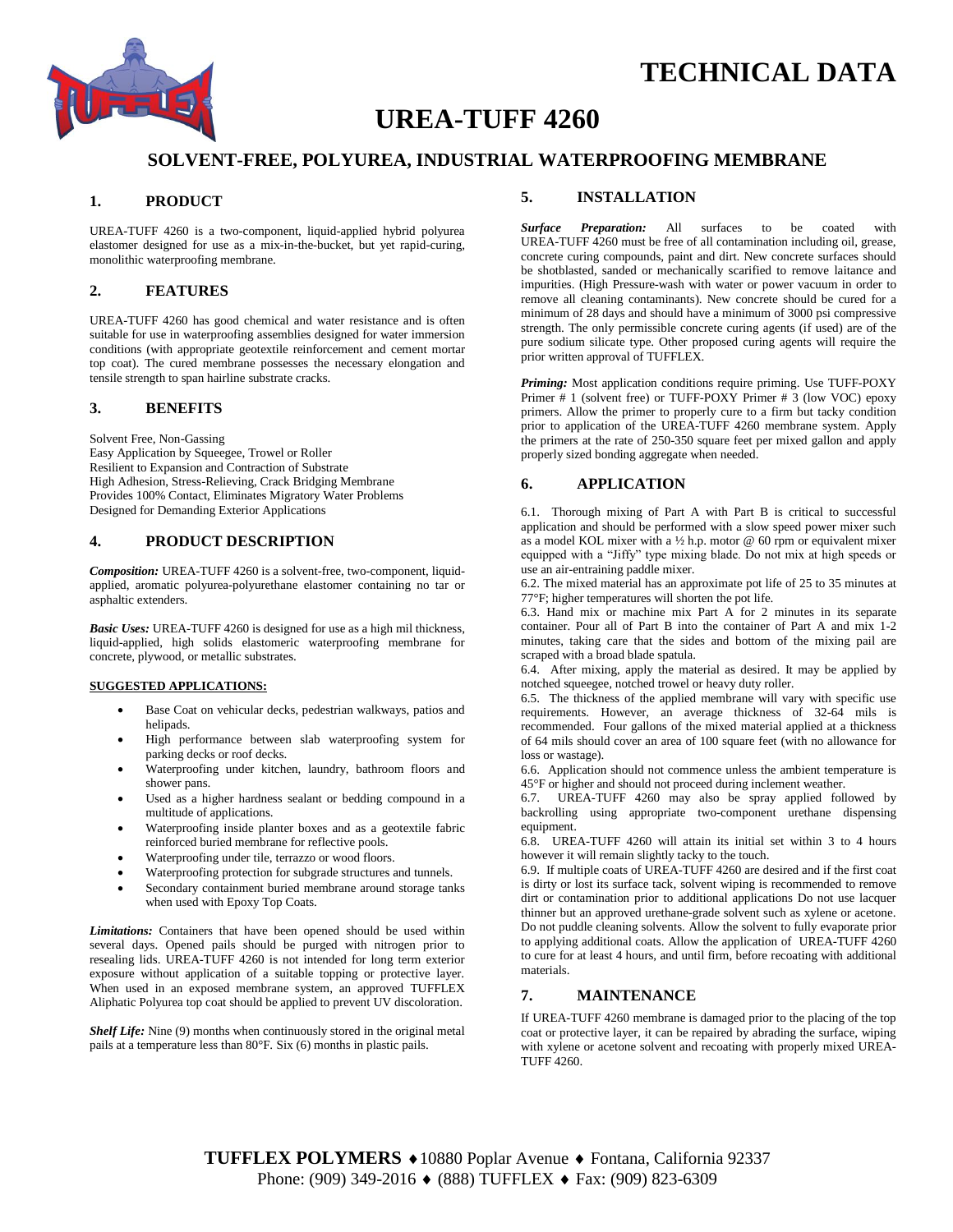



# **UREA-TUFF 4260**

# **SOLVENT-FREE, POLYUREA, INDUSTRIAL WATERPROOFING MEMBRANE**

### **1. PRODUCT**

UREA-TUFF 4260 is a two-component, liquid-applied hybrid polyurea elastomer designed for use as a mix-in-the-bucket, but yet rapid-curing, monolithic waterproofing membrane.

## **2. FEATURES**

UREA-TUFF 4260 has good chemical and water resistance and is often suitable for use in waterproofing assemblies designed for water immersion conditions (with appropriate geotextile reinforcement and cement mortar top coat). The cured membrane possesses the necessary elongation and tensile strength to span hairline substrate cracks.

## **3. BENEFITS**

Solvent Free, Non-Gassing Easy Application by Squeegee, Trowel or Roller Resilient to Expansion and Contraction of Substrate High Adhesion, Stress-Relieving, Crack Bridging Membrane Provides 100% Contact, Eliminates Migratory Water Problems Designed for Demanding Exterior Applications

#### **4. PRODUCT DESCRIPTION**

*Composition:* UREA-TUFF 4260 is a solvent-free, two-component, liquidapplied, aromatic polyurea-polyurethane elastomer containing no tar or asphaltic extenders.

*Basic Uses:* UREA-TUFF 4260 is designed for use as a high mil thickness, liquid-applied, high solids elastomeric waterproofing membrane for concrete, plywood, or metallic substrates.

## **SUGGESTED APPLICATIONS:**

- Base Coat on vehicular decks, pedestrian walkways, patios and helipads.
- High performance between slab waterproofing system for parking decks or roof decks.
- Waterproofing under kitchen, laundry, bathroom floors and shower pans.
- Used as a higher hardness sealant or bedding compound in a multitude of applications.
- Waterproofing inside planter boxes and as a geotextile fabric reinforced buried membrane for reflective pools.
- Waterproofing under tile, terrazzo or wood floors.
- Waterproofing protection for subgrade structures and tunnels.
- Secondary containment buried membrane around storage tanks when used with Epoxy Top Coats.

*Limitations:* Containers that have been opened should be used within several days. Opened pails should be purged with nitrogen prior to resealing lids. UREA-TUFF 4260 is not intended for long term exterior exposure without application of a suitable topping or protective layer. When used in an exposed membrane system, an approved TUFFLEX Aliphatic Polyurea top coat should be applied to prevent UV discoloration.

*Shelf Life:* Nine (9) months when continuously stored in the original metal pails at a temperature less than 80°F. Six (6) months in plastic pails.

### **5. INSTALLATION**

*Surface Preparation:* All surfaces to be coated with UREA-TUFF 4260 must be free of all contamination including oil, grease, concrete curing compounds, paint and dirt. New concrete surfaces should be shotblasted, sanded or mechanically scarified to remove laitance and impurities. (High Pressure-wash with water or power vacuum in order to remove all cleaning contaminants). New concrete should be cured for a minimum of 28 days and should have a minimum of 3000 psi compressive strength. The only permissible concrete curing agents (if used) are of the pure sodium silicate type. Other proposed curing agents will require the prior written approval of TUFFLEX.

*Priming:* Most application conditions require priming. Use TUFF-POXY Primer # 1 (solvent free) or TUFF-POXY Primer # 3 (low VOC) epoxy primers. Allow the primer to properly cure to a firm but tacky condition prior to application of the UREA-TUFF 4260 membrane system. Apply the primers at the rate of 250-350 square feet per mixed gallon and apply properly sized bonding aggregate when needed.

### **6. APPLICATION**

6.1. Thorough mixing of Part A with Part B is critical to successful application and should be performed with a slow speed power mixer such as a model KOL mixer with a  $\frac{1}{2}$  h.p. motor @ 60 rpm or equivalent mixer equipped with a "Jiffy" type mixing blade. Do not mix at high speeds or use an air-entraining paddle mixer.

6.2. The mixed material has an approximate pot life of 25 to 35 minutes at 77°F; higher temperatures will shorten the pot life.

6.3. Hand mix or machine mix Part A for 2 minutes in its separate container. Pour all of Part B into the container of Part A and mix 1-2 minutes, taking care that the sides and bottom of the mixing pail are scraped with a broad blade spatula.

6.4. After mixing, apply the material as desired. It may be applied by notched squeegee, notched trowel or heavy duty roller.

6.5. The thickness of the applied membrane will vary with specific use requirements. However, an average thickness of 32-64 mils is recommended. Four gallons of the mixed material applied at a thickness of 64 mils should cover an area of 100 square feet (with no allowance for loss or wastage).

6.6. Application should not commence unless the ambient temperature is 45°F or higher and should not proceed during inclement weather.

6.7. UREA-TUFF 4260 may also be spray applied followed by backrolling using appropriate two-component urethane dispensing equipment.

6.8. UREA-TUFF 4260 will attain its initial set within 3 to 4 hours however it will remain slightly tacky to the touch.

6.9. If multiple coats of UREA-TUFF 4260 are desired and if the first coat is dirty or lost its surface tack, solvent wiping is recommended to remove dirt or contamination prior to additional applications Do not use lacquer thinner but an approved urethane-grade solvent such as xylene or acetone. Do not puddle cleaning solvents. Allow the solvent to fully evaporate prior to applying additional coats. Allow the application of UREA-TUFF 4260 to cure for at least 4 hours, and until firm, before recoating with additional materials.

# **7. MAINTENANCE**

If UREA-TUFF 4260 membrane is damaged prior to the placing of the top coat or protective layer, it can be repaired by abrading the surface, wiping with xylene or acetone solvent and recoating with properly mixed UREA-TUFF 4260.